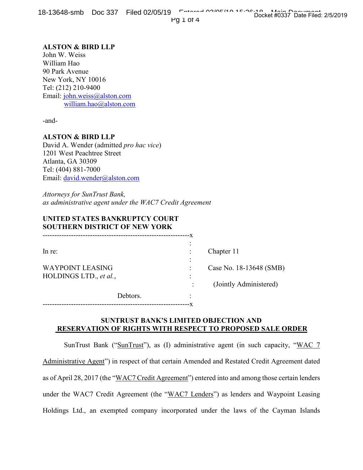18-13648-smb Doc 337 Filed 02/05/19 Entered 02/05/19 15:26:12 Pg 1 of 4 Docket #0337 Date Filed: 2/5/2019

# **ALSTON & BIRD LLP**

John W. Weiss William Hao 90 Park Avenue New York, NY 10016 Tel: (212) 210-9400 Email: john.weiss@alston.com william.hao@alston.com

-and-

### **ALSTON & BIRD LLP**

David A. Wender (admitted *pro hac vice*) 1201 West Peachtree Street Atlanta, GA 30309 Tel: (404) 881-7000 Email: david.wender@alston.com

*Attorneys for SunTrust Bank, as administrative agent under the WAC7 Credit Agreement*

## **UNITED STATES BANKRUPTCY COURT SOUTHERN DISTRICT OF NEW YORK**

| $ln re$ :               |          |                          | Chapter 11              |
|-------------------------|----------|--------------------------|-------------------------|
|                         |          | $\overline{\phantom{a}}$ |                         |
| <b>WAYPOINT LEASING</b> |          |                          | Case No. 18-13648 (SMB) |
| HOLDINGS LTD., et al.,  |          |                          |                         |
|                         |          |                          | (Jointly Administered)  |
|                         | Debtors. |                          |                         |

--------------------------------------------------------------x

## **SUNTRUST BANK'S LIMITED OBJECTION AND RESERVATION OF RIGHTS WITH RESPECT TO PROPOSED SALE ORDER**

SunTrust Bank ("SunTrust"), as (I) administrative agent (in such capacity, "WAC 7 Administrative Agent") in respect of that certain Amended and Restated Credit Agreement dated as of April 28, 2017 (the "WAC7 Credit Agreement") entered into and among those certain lenders under the WAC7 Credit Agreement (the "WAC7 Lenders") as lenders and Waypoint Leasing Holdings Ltd., an exempted company incorporated under the laws of the Cayman Islands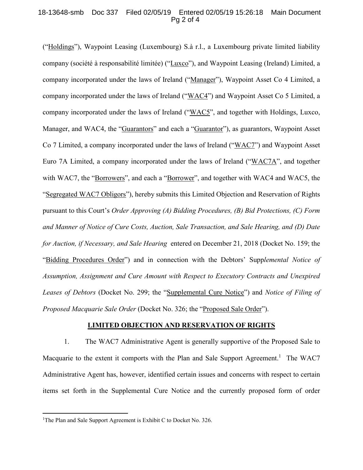#### 18-13648-smb Doc 337 Filed 02/05/19 Entered 02/05/19 15:26:18 Main Document Pg 2 of 4

("Holdings"), Waypoint Leasing (Luxembourg) S.à r.l., a Luxembourg private limited liability company (société à responsabilité limitée) ("Luxco"), and Waypoint Leasing (Ireland) Limited, a company incorporated under the laws of Ireland ("Manager"), Waypoint Asset Co 4 Limited, a company incorporated under the laws of Ireland ("WAC4") and Waypoint Asset Co 5 Limited, a company incorporated under the laws of Ireland ("WAC5", and together with Holdings, Luxco, Manager, and WAC4, the "Guarantors" and each a "Guarantor"), as guarantors, Waypoint Asset Co 7 Limited, a company incorporated under the laws of Ireland ("WAC7") and Waypoint Asset Euro 7A Limited, a company incorporated under the laws of Ireland ("WAC7A", and together with WAC7, the "Borrowers", and each a "Borrower", and together with WAC4 and WAC5, the "Segregated WAC7 Obligors"), hereby submits this Limited Objection and Reservation of Rights pursuant to this Court's *Order Approving (A) Bidding Procedures, (B) Bid Protections, (C) Form and Manner of Notice of Cure Costs, Auction, Sale Transaction, and Sale Hearing, and (D) Date for Auction, if Necessary, and Sale Hearing* entered on December 21, 2018 (Docket No. 159; the "Bidding Procedures Order") and in connection with the Debtors' Supp*lemental Notice of Assumption, Assignment and Cure Amount with Respect to Executory Contracts and Unexpired Leases of Debtors* (Docket No. 299; the "Supplemental Cure Notice") and *Notice of Filing of Proposed Macquarie Sale Order* (Docket No. 326; the "Proposed Sale Order").

#### **LIMITED OBJECTION AND RESERVATION OF RIGHTS**

1. The WAC7 Administrative Agent is generally supportive of the Proposed Sale to Macquarie to the extent it comports with the Plan and Sale Support Agreement.<sup>1</sup> The WAC7 Administrative Agent has, however, identified certain issues and concerns with respect to certain items set forth in the Supplemental Cure Notice and the currently proposed form of order

<sup>&</sup>lt;sup>1</sup>The Plan and Sale Support Agreement is Exhibit C to Docket No. 326.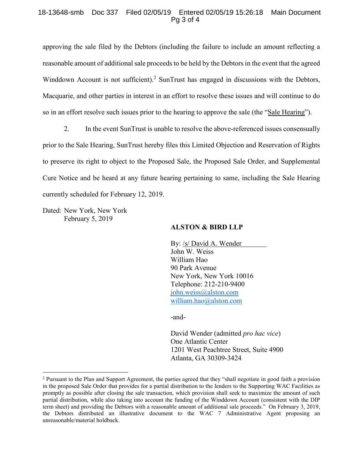#### 18-13648-smb Doc 337 Filed 02/05/19 Entered 02/05/19 15:26:18 Main Document Pg 3 of 4

approving the sale filed by the Debtors (including the failure to include an amount reflecting a reasonable amount of additional sale proceeds to be held by the Debtors in the event that the agreed Winddown Account is not sufficient).<sup>2</sup> SunTrust has engaged in discussions with the Debtors, Macquarie, and other parties in interest in an effort to resolve these issues and will continue to do so in an effort resolve such issues prior to the hearing to approve the sale (the "Sale Hearing").

2. In the event SunTrust is unable to resolve the above-referenced issues consensually prior to the Sale Hearing, SunTrust hereby files this Limited Objection and Reservation of Rights to preserve its right to object to the Proposed Sale, the Proposed Sale Order, and Supplemental Cure Notice and be heard at any future hearing pertaining to same, including the Sale Hearing currently scheduled for February 12, 2019.

Dated: New York, New York February 5, 2019

### **ALSTON & BIRD LLP**

By: /s/ David A. Wender John W. Weiss William Hao 90 Park Avenue New York, New York 10016 Telephone: 212-210-9400 john.weiss@alston.com william.hao@alston.com

-and-

David Wender (admitted *pro hac vice*) One Atlantic Center 1201 West Peachtree Street, Suite 4900 Atlanta, GA 30309-3424

<sup>&</sup>lt;sup>2</sup> Pursuant to the Plan and Support Agreement, the parties agreed that they "shall negotiate in good faith a provision in the proposed Sale Order that provides for a partial distribution to the lenders to the Supporting WAC Facilities as promptly as possible after closing the sale transaction, which provision shall seek to maximize the amount of such partial distribution, while also taking into account the funding of the Winddown Account (consistent with the DIP term sheet) and providing the Debtors with a reasonable amount of additional sale proceeds." On February 3, 2019, the Debtors distributed an illustrative document to the WAC 7 Administrative Agent proposing an unreasonable/material holdback.